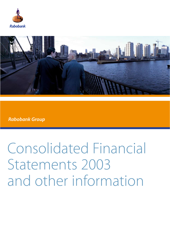



*Rabobank Group*

# Consolidated Financial Statements 2003 and other information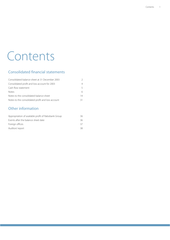# Contents

# Consolidated financial statements

| $\mathcal{P}$  |
|----------------|
| $\overline{A}$ |
| 5              |
| 6              |
| 14             |
| 31             |
|                |

# Other information

| Appropriation of available profit of Rabobank Group | 36 |
|-----------------------------------------------------|----|
| Events after the balance sheet date                 | 36 |
| Foreign offices                                     | 37 |
| Auditors' report                                    | 38 |
|                                                     |    |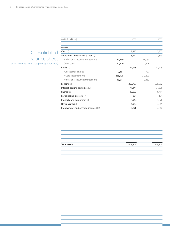| 30,199<br>11,720<br>2,161<br>235,425<br>13,211 | 7,117<br>3,211<br>41,919<br>250,797 | 40,053<br>7,176<br>797<br>212,323 |                 |
|------------------------------------------------|-------------------------------------|-----------------------------------|-----------------|
|                                                |                                     |                                   | 3,807           |
|                                                |                                     |                                   | 1,813<br>47,229 |
|                                                |                                     |                                   |                 |
|                                                |                                     |                                   |                 |
|                                                |                                     |                                   |                 |
|                                                |                                     |                                   |                 |
|                                                |                                     |                                   |                 |
|                                                |                                     |                                   |                 |
|                                                |                                     | 12,132                            |                 |
|                                                |                                     |                                   | 225,252         |
|                                                | 71,141                              |                                   | 71,320          |
|                                                | 10,093                              |                                   | 9,414           |
|                                                | 201                                 |                                   | 184             |
|                                                | 3,964                               |                                   | 3,870           |
|                                                | 4,984                               |                                   | 4,519           |
|                                                | 9,878                               |                                   | 7,312           |
|                                                |                                     |                                   |                 |
|                                                | 403,305                             |                                   | 374,720         |
|                                                |                                     |                                   |                 |
|                                                |                                     |                                   |                 |
|                                                |                                     |                                   |                 |
|                                                |                                     |                                   |                 |
|                                                |                                     |                                   |                 |
|                                                |                                     |                                   |                 |
|                                                |                                     |                                   |                 |
|                                                |                                     |                                   |                 |

# Consolidate balance sheet

at 31 December 2003 (after profit appropriation)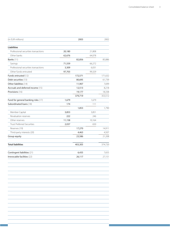| (in EUR millions)                    | 2003   |         |        | 2002    |
|--------------------------------------|--------|---------|--------|---------|
| <b>Liabilities</b>                   |        |         |        |         |
| Professional securities transactions | 20,180 |         | 21,808 |         |
| Other banks                          | 62,676 |         | 64,078 |         |
| Banks (11)                           |        | 82,856  |        | 85,886  |
| Savings                              | 71,559 |         | 66,272 |         |
| Professional securities transactions | 3,309  |         | 6,031  |         |
| Other funds entrusted                | 97,703 |         | 99,329 |         |
| Funds entrusted (12)                 |        | 172,571 |        | 171,632 |
| Debt securities (13)                 |        | 80,695  |        | 61,739  |
| Other liabilities (14)               |        | 11,907  |        | 7,699   |
| Accruals and deferred income (15)    |        | 12,513  |        | 8,218   |
| Provisions (16)                      |        | 19,177  |        | 18,338  |
|                                      |        | 379,719 |        | 353,512 |
| Fund for general banking risks (17)  | 1,679  |         | 1,679  |         |
| Subordinated loans (18)              | 174    |         | 111    |         |
|                                      |        | 1,853   |        | 1,790   |
| Member Capital                       | 3,853  |         | 3,851  |         |
| Revaluation reserves                 | 222    |         | 246    |         |
| Other reserves                       | 11,158 |         | 10,164 |         |
| <b>Trust Preferred Securities</b>    | 2,037  |         | 650    |         |
| Reserves (19)                        |        | 17,270  |        | 14,911  |
| Third-party interests (20)           |        | 4,463   |        | 4,507   |
| Group equity                         |        | 23,586  |        | 21,208  |
|                                      |        |         |        |         |
| <b>Total liabilities</b>             |        | 403,305 |        | 374,720 |
|                                      |        |         |        |         |
| Contingent liabilities (21)          |        | 6,435   |        | 7,655   |
| Irrevocable facilities (22)          |        | 26,117  |        | 27,151  |
|                                      |        |         |        |         |
|                                      |        |         |        |         |
|                                      |        |         |        |         |
|                                      |        |         |        |         |
|                                      |        |         |        |         |
|                                      |        |         |        |         |
|                                      |        |         |        |         |
|                                      |        |         |        |         |
|                                      |        |         |        |         |
|                                      |        |         |        |         |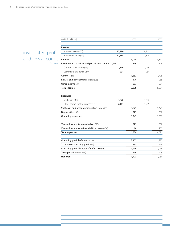# Consolidated profit and loss account for 2003

| 18,265<br>12,874<br>2,049<br>254<br>3,682 | 5,391<br>529<br>1,795<br>285<br>564<br>8,564 |
|-------------------------------------------|----------------------------------------------|
|                                           |                                              |
|                                           |                                              |
|                                           |                                              |
|                                           |                                              |
|                                           |                                              |
|                                           |                                              |
|                                           |                                              |
|                                           |                                              |
|                                           |                                              |
|                                           |                                              |
|                                           |                                              |
|                                           |                                              |
|                                           |                                              |
|                                           |                                              |
| 1,789                                     |                                              |
|                                           | 5,471                                        |
|                                           | 368                                          |
|                                           | 5,839                                        |
|                                           | 500                                          |
|                                           | 252                                          |
|                                           | 6,591                                        |
|                                           | 1,973                                        |
|                                           | 514                                          |
|                                           | 1,459                                        |
|                                           |                                              |
|                                           | 209<br>1,250                                 |
|                                           |                                              |
|                                           |                                              |
|                                           |                                              |
|                                           |                                              |
|                                           |                                              |
|                                           |                                              |
|                                           |                                              |
|                                           |                                              |
|                                           |                                              |
|                                           |                                              |
|                                           |                                              |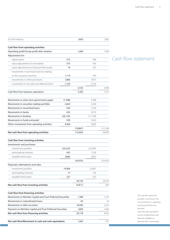| (in EUR millions)                                          |           | 2003      |           | 2002      |
|------------------------------------------------------------|-----------|-----------|-----------|-----------|
|                                                            |           |           |           |           |
| Cash flow from operating activities                        |           |           |           |           |
| Operating profit/Group profit after taxation               |           | 1,669     |           | 1,459     |
| Adjustments for:                                           |           |           |           |           |
| - depreciation                                             | 372       |           | 368       |           |
| - value adjustments to receivables                         | 575       |           | 500       |           |
| - value adjustments to financial fixed assets              | 18        |           | 252       |           |
| - movements in technical reserves relating                 |           |           |           |           |
| to the insurance business                                  | 1,119     |           | 939       |           |
| - movements in other provisions                            | (280)     |           | (937)     |           |
| - movements in accrued and deferred items                  | 1,729     |           | 4,734     |           |
|                                                            |           | 3,533     |           | 5,856     |
| Cash flow from business operations                         |           | 5,202     |           | 7,315     |
|                                                            |           |           |           |           |
| Movements in short-term government paper                   | (1, 398)  |           | 3,498     |           |
| Movements in securities trading portfolio                  | 2,665     |           | 3,340     |           |
| Movements in securitised loans                             | (50)      |           | (154)     |           |
| Movements in banks                                         | 633       |           | (675)     |           |
| Movements in lending                                       | (26, 120) |           | (17, 138) |           |
| Movements in funds entrusted                               | 939       |           | (542)     |           |
| Other movements from operating activities                  | 4,464     |           | (469)     |           |
|                                                            |           | (18, 867) |           | (12, 140) |
| Net cash flow from operating activities                    |           | (13,665)  |           | (4,825)   |
|                                                            |           |           |           |           |
| Cash flow from investing activities                        |           |           |           |           |
| Investments and purchases                                  |           |           |           |           |
| - investment portfolio                                     | (24, 222) |           | (22, 495) |           |
| - participating interests                                  | (45)      |           | (126)     |           |
| - tangible fixed assets                                    | (686)     |           | (802)     |           |
|                                                            |           | (24, 953) |           | (23, 423) |
| Disposals, redemptions and sales                           |           |           |           |           |
| - investment portfolio                                     | 19,900    |           | 23,801    |           |
| - participating interests                                  | 15        |           | 136       |           |
| - tangible fixed assets                                    | 227       |           | 333       |           |
|                                                            |           | 20,142    |           | 24,270    |
| Net cash flow from investing activities                    |           | (4, 811)  |           | 847       |
|                                                            |           |           |           |           |
| Cash flow from financing activities                        |           |           |           |           |
| Movements in Member Capital and Trust Preferred Securities |           | 1,389     |           | 1,575     |
| Movements in subordinated loans                            |           | 63        |           | 59        |
| Movements in debt securities                               |           | 18,956    |           | 3,225     |
| Payment on Member Capital and Trust Preferred Securities   |           | (269)     |           | (206)     |
| Net cash flow from financing activities                    |           | 20,139    |           | 4,653     |
|                                                            |           |           |           |           |
| Net cash flow/Movement in cash and cash equivalents        |           | 1,663     |           | 675       |

# Cash flow statement

The cash flow statement provides a summary of the net movements in operating, investing and financing activities. Cash and cash equivalents consist of legal tender and balances available on demand with central banks.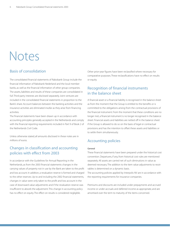# Notes

# Basis of consolidation

The consolidated financial statements of Rabobank Group include the financial information of Rabobank Nederland and the local member banks, as well as the financial information of other group companies. The assets, liabilities and results of these companies are consolidated in full. Third-party interests are disclosed separately. Joint ventures are included in the consolidated financial statements in proportion to the Bank's share. Account balances between the banking activities and the insurance activities are eliminated insofar as they arise from financing activities.

The financial statements have been drawn up in accordance with accounting principles generally accepted in the Netherlands and comply with the financial reporting requirements included in Part 9 of Book 2 of the Netherlands Civil Code.

Unless otherwise stated, all amounts disclosed in these notes are in millions of euros.

# Changes in classification and accounting policies with effect from 2003

In accordance with the Guidelines for Annual Reporting in the Netherlands, as from the 2003 financial statements changes in the carrying values of property not in use by the Bank are taken to the profit and loss account. In addition, a revaluation reserve is formed and charged to the other reserves. Up to and including the 2002 financial statements, changes in value were only taken to the profit and loss account in the case of downward value adjustments and if the revaluation reserve was insufficient to absorb the adjustment. This change in accounting policy has no effect on equity. The effect on results is considered negligible.

Other prior-year figures have been reclassified where necessary for comparative purposes. These reclassifications have no effect on results or equity.

# Recognition of financial instruments in the balance sheet

A financial asset or a financial liability is recognised in the balance sheet as from the moment that the Group is entitled to the benefits or is committed to the obligations arising from the contractual provisions of the financial instrument. From the moment that these conditions are no longer met, a financial instrument is no longer recognised in the balance sheet. Financial assets and liabilities are netted off in the balance sheet if the Group is allowed to do so on the basis of legal or contractual provisions and has the intention to offset these assets and liabilities or to settle them simultaneously.

### Accounting policies

#### General

These financial statements have been prepared under the historical cost convention. Departures, if any, from historical cost rules are mentioned separately. All assets are carried net of such diminutions in value as deemed necessary. The addition to the item value adjustments to receivables is determined on a dynamic basis.

The accounting policies applied by Interpolis NV are in accordance with the reporting requirements for insurance companies.

Premiums and discounts are included under prepayments and accrued income or under accruals and deferred income as appropriate, and are amortised over the term to maturity of the items concerned.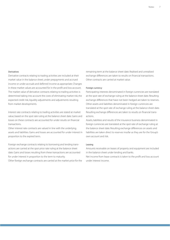#### Derivatives

Derivative contracts relating to trading activities are included at their market value in the balance sheet, under prepayments and accrued income or under accruals and deferred income as appropriate. Changes in these market values are accounted for in the profit and loss account. The market value of derivative contracts relating to trading activities is determined taking into account the costs of eliminating market risk, the expected credit risk, liquidity adjustments and adjustments resulting from market developments.

Interest rate contracts relating to trading activities are stated at market value, based on the spot rate ruling at the balance sheet date. Gains and losses on these contracts are accounted for under results on financial transactions.

Other interest rate contracts are valued in line with the underlying assets and liabilities. Gains and losses are accounted for under interest in proportion to the expired term.

Foreign exchange contracts relating to borrowing and lending transactions are carried at the spot price rate ruling at the balance sheet date. Gains and losses resulting from these transactions are accounted for under interest in proportion to the term to maturity.

Other foreign exchange contracts are carried at the market price for the

remaining term at the balance sheet date. Realised and unrealised exchange differences are taken to results on financial transactions. Other contracts are carried at market value.

#### Foreign currency

Participating interests denominated in foreign currencies are translated at the spot rate of exchange ruling at the balance sheet date. Resulting exchange differences that have not been hedged are taken to reserves. Other assets and liabilities denominated in foreign currencies are translated at the spot rate of exchange ruling at the balance sheet date. Resulting exchange differences are taken to results on financial transactions.

Assets, liabilities and results of the insurance business denominated in foreign currencies are translated at the spot rate of exchange ruling at the balance sheet date. Resulting exchange differences on assets and liabilities are taken direct to reserves insofar as they are for the Group's own account and risk.

#### Leasing

Amounts receivable on leases of property and equipment are included in the balance sheet under lending and banks.

Net income from lease contracts is taken to the profit and loss account under interest income.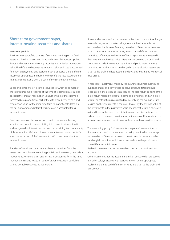# Short-term government paper, interest-bearing securities and shares

#### Investment portfolio

The investment portfolio consists of securities forming part of fixed assets and held as investments in accordance with Rabobank policy. Bonds and other interest-bearing securities are carried at redemption value. The difference between redemption value and cost is accounted for under prepayments and accrued income or accruals and deferred income as appropriate and taken to the profit and loss account under interest income evenly over the term of the securities concerned.

Bonds and other interest-bearing securities for which all or most of the interest income is received at the time of redemption are carried at cost rather than at redemption value. The value of these items is increased by a proportional part of the difference between cost and redemption value for the remaining term to maturity, calculated on the basis of compound interest. This increase is accounted for as interest income.

Gains and losses on the sale of bonds and other interest-bearing securities are taken to reserves, taking into account deferred taxation, and recognised as interest income over the remaining term to maturity of those securities. Gains and losses on securities sold on account of a structural reduction of the investment portfolio are taken direct to interest income.

Transfers of bonds and other interest-bearing securities from the investment portfolio to the trading portfolio, and vice versa, are made at market value. Resulting gains and losses are accounted for in the same manner as gains and losses on sales of either investment portfolio or trading portfolio securities, as appropriate.

Shares and other non-fixed income securities listed on a stock exchange are carried at year-end market value; those not listed are carried at estimated realisable value. Resulting unrealised differences in value are taken to a revaluation reserve, taking into account deferred taxation. Unrealised differences in the value of hedging contracts are treated in the same manner. Realised price differences are taken to the profit and loss account under income from securities and participating interests. Unrealised losses that cannot be charged to the revaluation reserve are taken to the profit and loss account under value adjustments to financial fixed assets.

In respect of investments made by the insurance business in land and buildings, shares and convertible bonds, a structural total return is recognised in the profit and loss account. The total return consists of the direct return realised (net rental income and dividends) and an indirect return. The total return is calculated by multiplying the average return realised on the investments in the past 30 years by the average value of the investments in the past seven years. The indirect return is calculated as the difference between the total return and the direct return. The indirect return is released from the revaluation reserve. Releases from the revaluation reserve are made insofar as the reserve has a positive balance.

The accounting policy for investments in separate investment funds (insurance business) is the same as the policy described above, except for unrealised differences in value on investments in shares and other variable-yield securities, which are accounted for in the provision for price differences third parties.

Realised price gains and losses are taken direct to the profit and loss account.

Other investments for the account and risk of policyholders are carried at market value, increased with accrued interest where appropriate. Realised and unrealised differences in value are taken to the profit and loss account.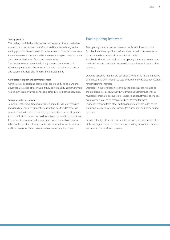#### Trading portfolio

The trading portfolio is carried at market value or estimated realisable value at the balance sheet date. Valuation differences relating to the trading portfolio are accounted for under results on financial transactions. Repurchased own bonds and other interest-bearing securities for resale are carried at the lower of cost and market value.

The market value is determined taking into account the costs of eliminating market risk, the expected credit risk, liquidity adjustments and adjustments resulting from market developments.

#### Certificates of deposit and commercial paper

Certificates of deposit and commercial paper qualifying as loans and advances are carried at face value. If they do not qualify as such, they are valued in the same way as bonds and other interest-bearing securities.

#### Temporary other investments

Temporary other investments are carried at market value determined individually for each investment. The resulting positive differences in value in relation to cost are taken to the revaluation reserve. Decreases in the revaluation reserve due to disposals are released to the profit and loss account. Downward value adjustments and reversals of them are taken to the profit and loss account under value adjustments to financial fixed assets, insofar as no reserve has been formed for them.

### Participating interests

Participating interests over whose commercial and financial policy Rabobank exercises significant influence are carried at net asset value based on the latest financial information available.

Rabobank's share in the results of participating interests is taken to the profit and loss account under income from securities and participating interests.

Other participating interests are carried at fair value.The resulting positive differences in value in relation to cost are taken to the revaluation reserve for participating interests.

Decreases in the revaluation reserve due to disposals are released to the profit and loss account. Downward value adjustments, as well as reversals of them, are accounted for under value adjustments to financial fixed assets, insofar as no reserve has been formed for them. Dividends received from other participating interests are taken to the profit and loss account under income from securities and participating interests.

Results of foreign offices denominated in foreign currencies are translated at the average rates for the financial year. Resulting translation differences are taken to the revaluation reserve.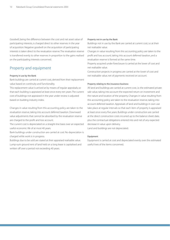Goodwill, being the difference between the cost and net asset value of participating interests, is charged direct to other reserves in the year of acquisition. Negative goodwill on the acquisition of participating interests is taken direct to the revaluation reserve. The revaluation reserve. is transferred evenly to other reserves in proportion to the gains realised on the participating interests concerned.

### Property and equipment

#### Property in use by the Bank

Bank buildings are carried at current cost, derived from their replacement value based on continuity and functionality.

This replacement value is arrived at by means of regular appraisals, so that each building is appraised at least once every ten years. The current cost of buildings not appraised in the year under review is adjusted based on building industry index.

Changes in value resulting from this accounting policy are taken to the revaluation reserve, taking into account deferred taxation. Downward value adjustments that cannot be absorbed by the revaluation reserve are charged to the profit and loss account.

The current cost is depreciated on a straight-line basis over an expected useful economic life of at most 40 years.

Bank buildings under construction are carried at cost. No depreciation is charged while work is in progress.

Buildings due to be sold are stated at their appraised realisable value. Lump-sum ground rent of land held on a long lease is capitalised and written off over a period not exceeding 40 years.

#### Property not in use by the Bank

Buildings not in use by the Bank are carried at current cost, i.e. at their net realisable value.

Changes in value resulting from this accounting policy are taken to the profit and loss account, taking into account deferred taxation, and a revaluation reserve is formed at the same time.

Property acquired under foreclosure is carried at the lower of cost and net realisable value.

Construction projects in progress are carried at the lower of cost and net realisable value, net of payments received on account.

#### Property relating to the insurance business

All land and buildings are carried at current cost, i.e. the estimated private sale value, taking into account the expected return on investment and the nature and location of the property. Changes in value resulting from this accounting policy are taken to the revaluation reserve, taking into account deferred taxation. Appraisals of land and buildings in own use take place at regular intervals so that each item of property is appraised at least once every five years. Buildings under construction are carried at the direct construction costs incurred up to the balance sheet date, plus the contractual obligations entered into and net of any expected decrease in value upon delivery.

Land and buildings are not depreciated.

#### Equipment

Equipment is carried at cost and depreciated evenly over the estimated useful lives of the items concerned.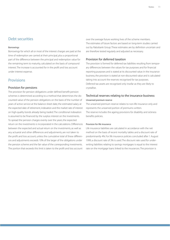# Debt securities

#### Borrowings

Borrowings for which all or most of the interest charges are paid at the time of redemption are carried at their principal, plus a proportional part of the difference between the principal and redemption value for the remaining term to maturity, calculated on the basis of compound interest. The increase is accounted for in the profit and loss account under interest expense.

# Provisions

#### Provision for pensions

The provision for pension obligations under defined benefit pension schemes is determined according to a method that determines the discounted value of the pension obligations on the basis of the number of years of active service at the balance sheet date, the estimated salary at the expected date of retirement, indexation and the market rate of interest on high-quality bonds already being traded. The conditional indexation is assumed to be financed by the surplus interest on the investments. To spread the pension charges evenly over the years, the expected return on the investments is incorporated in the calculations. Differences between the expected and actual return on the investments, as well as any actuarial and other differences and adjustments, are not taken to the profit and loss account, unless the cumulative total of these differences and adjustments exceeds 10% of the larger of the obligations under the pension scheme and the fair value of the corresponding investments. The portion that exceeds this limit is taken to the profit and loss account

over the average future working lives of the scheme members. The estimates of future factors are based on long-term studies carried out by Rabobank Group. These estimates are by definition uncertain and are therefore tested regularly and adjusted as necessary.

#### Provision for deferred taxation

The provision is formed for deferred tax liabilities resulting from temporary differences between the values for tax purposes and for financial reporting purposes and is stated at its discounted value. In the insurance business, the provision is stated at non-discounted value and is calculated taking into account the reserves recognised for tax purposes. Deferred tax assets are recognised only insofar as they are likely to crystallise.

#### Technical reserves relating to the insurance business Unearned premium reserve

The unearned premium reserve relates to non-life insurance only and represents the unearned portion of premiums written. The reserve includes the ageing provisions for disability and sickness benefits policies.

#### Provision for life insurance

Life insurance liabilities are calculated in accordance with the net method on the basis of recent mortality tables and a discount rate of predominantly 4%. For life insurance policies concluded after 1 August 1999, a discount rate of 3% is used. The discount rate used for underwriting liabilities relating to savings mortgages is equal to the interest rate on the mortgage loans linked to the insurances. The provision is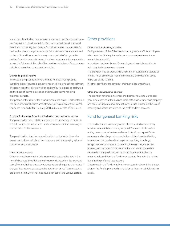stated net of capitalised interest rate rebates and net of capitalised newbusiness commission incurred on life insurance policies with renewal premiums paid at regular intervals. Capitalised interest rate rebates on policies for which Interpolis bears the full investment risk are amortised to the profit and loss account evenly over a period of ten years. For policies for which Interpolis bears virtually no investment risk, amortisation is over the full term of the policy.This provision includes profit guarantees calculated according to actuarial principles.

#### Outstanding claims reserve

The outstanding claims reserve is formed for outstanding claims, including claims incurred but not yet reported in previous financial years. The reserve is either determined on an item-by-item basis or estimated on the basis of claims experience, and includes claims handling expenses payable.

The portion of the reserve for disability insurance claims is calculated on the basis of actuarial claims accrual factors, using a discount rate of 4%. For claims reported after 1 January 2001 a discount rate of 3% is used.

#### Provision for insurance for which policyholders bear the investment risk

The provision for these liabilities, insofar as the underlying investments are held in separate investment funds, is calculated in the same way as the provision for life insurance.

The provision for other insurances for which policyholders bear the investment risk are calculated in accordance with the carrying value of the underlying investments.

#### Other technical reserves

Other technical reserves include a reserve for catastrophe risks in the non-life business. The addition to the reserve is based on the expected cost of external reinsurance cover. Amounts are charged to the reserve if the total loss relating to catastrophe risks on an annual basis exceeds a pre-defined limit. Different limits have been set for the various sectors.

### Other provisions

#### Other provisions, banking activities

During the term of the Collective Labour Agreement (CLA), employees who meet the CLA requirements can opt for early retirement at or around the age of 60.

A provision has been formed for employees who might opt for the Voluntary Early Retirement Scheme.

The provision is calculated actuarially, using an average market rate of interest for all employees meeting the criteria and who are likely to make use of the scheme.

All other provisions are carried at their non-discounted value.

#### Other provisions, insurance business

The provision for price differences third parties relates to unrealised price differences, as at the balance sheet date, on investments in property and shares of separate investment funds. Results realised on the sale of property and shares are taken to the profit and loss account.

### Fund for general banking risks

The fund is formed to cover general risks associated with banking activities where this is prudently required. These risks include risks arising on account of unforeseeable and therefore unquantifiable expenses, such as large misappropriations of funds, nationalisation, et cetera, on the one hand and expenses resulting from large, exceptional setbacks relating to lending, interest rates, currencies, et cetera, on the other. Movements in the fund are accounted for separately in the profit and loss account. Expenses absorbed by amounts released from the fund are accounted for under the related items in the profit and loss account.

Movements in the fund are taken into account in determining the tax charge. The fund is presented in the balance sheet net of deferred tax assets.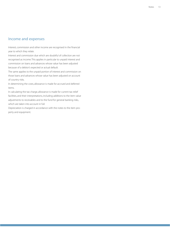# Income and expenses

Interest, commission and other income are recognised in the financial year to which they relate.

Interest and commission due which are doubtful of collection are not recognised as income. This applies in particular to unpaid interest and commission on loans and advances whose value has been adjusted because of a debtor's expected or actual default.

The same applies to the unpaid portion of interest and commission on those loans and advances whose value has been adjusted on account of country risks.

In determining the costs, allowance is made for accrued and deferred items.

In calculating the tax charge, allowance is made for current tax relief facilities, and their interpretations, including additions to the item value adjustments to receivables and to the fund for general banking risks, which are taken into account in full.

Depreciation is charged in accordance with the notes to the item property and equipment.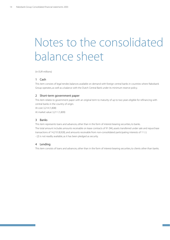# Notes to the consolidated balance sheet

(in EUR millions)

#### 1 Cash

This item consists of legal tender, balances available on demand with foreign central banks in countries where Rabobank Group operates, as well as a balance with the Dutch Central Bank under its minimum reserve policy.

#### 2 Short-term government paper

This item relates to government paper with an original term to maturity of up to two years eligible for refinancing with central banks in the country of origin. At cost: 3,214 (1,808) At market value: 3,211 (1,809)

#### 3 Banks

This item represents loans and advances, other than in the form of interest-bearing securities, to banks. The total amount includes amounts receivable on lease contracts of 91 (94), assets transferred under sale and repurchase transactions of 14,210 (8,928), and amounts receivable from non-consolidated participating interests of 11 (-). - (2) is not readily available, as it has been pledged as security.

#### 4 Lending

This item consists of loans and advances, other than in the form of interest-bearing securities, to clients other than banks.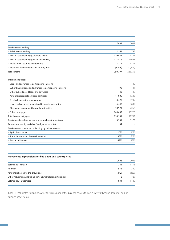|                                                              | 2003    | 2002    |
|--------------------------------------------------------------|---------|---------|
| Breakdown of lending:                                        |         |         |
| - Public sector lending                                      | 2.161   | 797     |
| - Private sector lending (corporate clients)                 | 119,457 | 111,382 |
| - Private sector lending (private individuals)               | 117,816 | 102,665 |
| - Professional securities transactions                       | 13,211  | 12,132  |
| - Provisions for bad debts and country risks                 | (1,848) | (1,724) |
| <b>Total lending</b>                                         | 250,797 | 225,252 |
| This item includes:                                          |         |         |
| - Loans and advances to participating interests              |         | 20      |
| - Subordinated loans and advances to participating interests | 98      | 121     |
| - Other subordinated loans and advances                      | 48      | 129     |
| - Amounts receivable on lease contracts                      | 11,905  | 11,228  |
| Of which operating lease contracts                           | 3,420   | 2,945   |
| - Loans and advances guaranteed by public authorities        | 5,442   | 7,830   |
| - Mortgages guaranteed by public authorities                 | 10,921  | 9.062   |
| - Other mortgages                                            | 149,603 | 130,728 |
| Total home mortgages                                         | 116,101 | 99,762  |
| Assets transferred under sale and repurchase transactions    | 3,901   | 15,373  |
| Amount not readily available (pledged as security)           | 34      |         |
| Breakdown of private sector lending by industry sector:      |         |         |
| - Agricultural sector                                        | 16%     | 16%     |
| - Trade, industry and the services sector                    | 35%     | 36%     |
| - Private individuals                                        | 49%     | 48%     |
|                                                              |         |         |

| Movements in provisions for bad debts and country risks     |       |       |
|-------------------------------------------------------------|-------|-------|
|                                                             | 2003  | 2002  |
| Balance at 1 January                                        | 1,785 | 1,753 |
| Addition                                                    | 575   | 500   |
| Amounts charged to the provisions                           | (442) | (460) |
| Other movements, including currency translation differences | 16    | (8)   |
| Balance at 31 December                                      | 1,934 | 1.785 |

1,848 (1,724) relates to lending, while the remainder of the balance relates to banks, interest-bearing securities and offbalance-sheet items.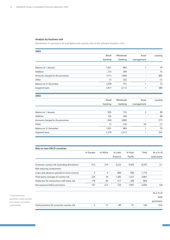#### **Analysis by business unit**

Movements in provisions for bad debts and country risks of the relevant business units.

| 2003                              |         |           |            |         |
|-----------------------------------|---------|-----------|------------|---------|
|                                   | Retail  | Wholesale | Asset      | Leasing |
|                                   | banking | banking   | management |         |
|                                   |         |           |            |         |
| Balance at 1 January              | 1,021   | 683       |            | 79      |
| Addition                          | 213     | 284       |            | 75      |
| Amounts charged to the provisions | (171)   | (184)     |            | (80)    |
| Other                             | 15      | (32)      |            | (1)     |
| Balance at 31 December            | 1,078   | 751       |            | 73      |
| Impaired loans                    | 1,817   | 2,115     |            | 380     |
|                                   |         |           |            |         |

| 2002                              |         |           |            |         |
|-----------------------------------|---------|-----------|------------|---------|
|                                   | Retail  | Wholesale | Asset      | Leasing |
|                                   | banking | banking   | management |         |
|                                   |         |           |            |         |
| Balance at 1 January              | 935     | 722       | 5          | 89      |
| Addition                          | 165     | 266       | ۰          | 68      |
| Amounts charged to the provisions | (94)    | (289)     | ۰          | (77)    |
| Other                             | 15      | (16)      | (4)        | (1)     |
| Balance at 31 December            | 1,021   | 683       |            | 79      |
| Impaired loans                    | 1,579   | 2,215     |            | 345     |
|                                   |         |           |            |         |

| <b>Risk on non-OECD countries</b>                                                       |           |                |          |          |       |              |
|-----------------------------------------------------------------------------------------|-----------|----------------|----------|----------|-------|--------------|
|                                                                                         | In Europe | In Africa      | In Latin | In Asia/ | Total | As a $%$ of  |
|                                                                                         |           |                | America  | Pacific  |       | total assets |
|                                                                                         |           |                |          |          |       |              |
| Economic country risk (excluding derivatives) <sup>1</sup><br>Risk-reducing components: | 572       | 310            | 3,222    | 4,493    | 8,597 | 2.1          |
| Loans and advances granted in local currency                                            | 3         | $\overline{4}$ | 800      | 966      | 1,773 |              |
| Third-party coverage of country risk                                                    | 224       | 34             | 1,282    | 1,327    | 2,867 |              |
| Deduction for transactions with lower risk                                              | 178       | 60             | 417      | 209      | 864   |              |
| Net exposure before provisions                                                          | 167       | 212            | 723      | 1,991    | 3,093 | 0.8          |
|                                                                                         |           |                |          |          |       | As a % of    |
|                                                                                         |           |                |          |          |       | total        |
|                                                                                         |           |                |          |          |       | provisions   |
| Total provisions for economic country risk                                              | 2         | 12             | 89       | 91       | 194   | 10.0         |

1) Total assets, plus guarantees issued, securities and undrawn committed credit facilities.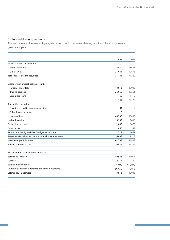# 5 Interest-bearing securities

This item represents interest-bearing negotiable bonds and other interest-bearing securities, other than short-term government paper.

|                                                           | 2003      | 2002      |
|-----------------------------------------------------------|-----------|-----------|
| Interest-bearing securities of:                           |           |           |
| - Public authorities                                      | 35,480    | 38,644    |
| - Other issuers                                           | 35,661    | 32.676    |
| Total interest-bearing securities                         | 71,141    | 71,320    |
| Breakdown of interest-bearing securities:                 |           |           |
| - Investment portfolio                                    | 43,913    | 40,946    |
| - Trading portfolio                                       | 26,068    | 29,264    |
| - Securitised loans                                       | 1,160     | 1,110     |
|                                                           | 71,141    | 71,320    |
| The portfolio includes:                                   |           |           |
| - Securities issued by group companies                    | 84        | 115       |
| - Subordinated securities                                 | 10        |           |
| Listed securities                                         | 60,236    | 58,485    |
| Unlisted securities                                       | 10,905    | 12,835    |
| Falling due next year                                     | 11,040    | 6,878     |
| Given on loan                                             | 660       | 242       |
| Amount not readily available (pledged as security)        | 712       | 1,454     |
| Assets transferred under sale and repurchase transactions | 6,493     | 4,219     |
| Investment portfolio at cost                              | 42,799    | 41,802    |
| Trading portfolio at cost                                 | 26,034    | 29,351    |
| Movements in the investment portfolio:                    |           |           |
| Balance at 1 January                                      | 40,946    | 44,955    |
| Purchases                                                 | 22,214    | 19,740    |
| Sales and redemptions                                     | (17, 638) | (21, 388) |
| Currency translation differences and other movements      | (1,609)   | (2,361)   |
| Balance at 31 December                                    | 43,913    | 40,946    |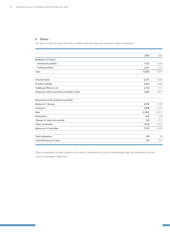#### 6 Shares

This item consists of shares and other variable-yield securities, and temporary other investments.

|                                               | 2003    | 2002     |
|-----------------------------------------------|---------|----------|
| Breakdown of shares:                          |         |          |
| - Investment portfolio                        | 7,532   | 8,293    |
| - Trading portfolio                           | 2,561   | 1,121    |
| Total                                         | 10,093  | 9,414    |
| Of which listed                               | 6,277   | 4,505    |
| Of which unlisted                             | 3,816   | 4,909    |
| Trading portfolio at cost                     | 2,552   | 1,110    |
| Temporary other investments included in total | 3,405   | 4,817    |
| Movements in the investment portfolio:        |         |          |
| Balance at 1 January                          | 8,293   | 9,709    |
| Purchases                                     | 2,008   | 2,755    |
| Sales                                         | (2,262) | (2, 413) |
| Revaluation                                   | (65)    | (35)     |
| Changes in value and reversals                | 168     | (251)    |
| Other movements                               | (610)   | (1,472)  |
| Balance at 31 December                        | 7,532   | 8,293    |
| <b>Total revaluations</b>                     | 238     | 36       |
| Total diminutions in value                    | 183     | 657      |

Other movements include changes in the value of investments for which policyholders bear the investment risk, and currency translation differences.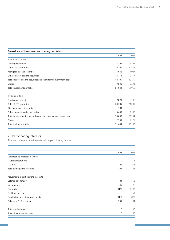| Breakdown of investment and trading portfolios                    |        |        |
|-------------------------------------------------------------------|--------|--------|
|                                                                   | 2003   | 2002   |
| Investment portfolio                                              |        |        |
| Dutch government                                                  | 3,794  | 4,562  |
| Other OECD countries                                              | 22,169 | 20,433 |
| Mortgage-backed securities                                        | 5,035  | 4,947  |
| Other interest-bearing securities                                 | 13,111 | 12,817 |
| Total interest-bearing securities and short-term government paper | 44,109 | 42,759 |
| <b>Shares</b>                                                     | 7,532  | 8,293  |
| Total investment portfolio                                        | 51,641 | 51,052 |
| Trading portfolio                                                 |        |        |
| Dutch government                                                  | 2,021  | 2,597  |
| Other OECD countries                                              | 23,389 | 24,081 |
| Mortgage-backed securities                                        | 184    |        |
| Other interest-bearing securities                                 | 3,489  | 2,586  |
| Total interest-bearing securities and short-term government paper | 29,083 | 29,264 |
| <b>Shares</b>                                                     | 2,561  | 1,121  |
| Total trading portfolio                                           | 31,644 | 30,385 |
|                                                                   |        |        |

### 7 Participating interests

This item represents the interests held in participating interests.

|                                       | 2003 | 2002  |
|---------------------------------------|------|-------|
| Participating interests, of which:    |      |       |
| - Credit institutions                 | 9    | 8     |
| - Other                               | 192  | 176   |
| Total participating interests         | 201  | 184   |
| Movements in participating interests: |      |       |
| Balance at 1 January                  | 184  | 156   |
| Investments                           | 45   | 126   |
| <b>Disposals</b>                      | (15) | (136) |
| Profit for the year                   |      | 53    |
| Revaluation and other movements       | (13) | (15)  |
| Balance at 31 December                | 201  | 184   |
| <b>Total revaluations</b>             | 18   | 53    |
| Total diminutions in value            | 6    | 56    |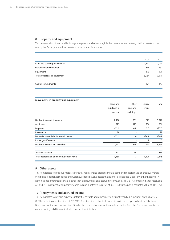#### 8 Property and equipment

This item consists of land and buildings, equipment and other tangible fixed assets, as well as tangible fixed assets not in use by the Group, such as fixed assets acquired under foreclosure.

|                               | 2003  | 2002  |
|-------------------------------|-------|-------|
| Land and buildings in own use | 2.477 | 2,490 |
| Other land and buildings      | 814   | 751   |
| Equipment                     | 673   | 629   |
| Total property and equipment  | 3,964 | 3,870 |
| Capital commitments           | 124   | 147   |
|                               |       |       |

| Movements in property and equipment         |              |                |        |       |
|---------------------------------------------|--------------|----------------|--------|-------|
|                                             | Land and     | Other          | Equip- | Total |
|                                             | buildings in | land and       | ment   |       |
|                                             | own use      | buildings      |        |       |
|                                             |              |                |        |       |
| Net book value at 1 January                 | 2,490        | 751            | 629    | 3,870 |
| <b>Additions</b>                            | 223          | 127            | 336    | 686   |
| <b>Disposals</b>                            | (122)        | (68)           | (37)   | (227) |
| Revaluation                                 | 18           | ٠              |        | 18    |
| Depreciation and diminutions in value       | (121)        | 4              | (249)  | (366) |
| Exchange differences                        | (11)         |                | (6)    | (17)  |
| Net book value at 31 December               | 2,477        | 814            | 673    | 3,964 |
| <b>Total revaluations</b>                   | 342          | 94             |        | 436   |
| Total depreciation and diminutions in value | 1,168        | $\overline{7}$ | 1,500  | 2,675 |

#### 9 Other assets

This item relates to precious metals, certificates representing precious metals, coins and medals made of precious metals (not being legal tender), goods and warehouse receipts, and assets that cannot be classified under any other heading. This item includes amounts receivable, other than prepayments and accrued income, of 3,731 (3,817), comprising a tax receivable of 385 (347) in respect of corporate income tax and a deferred tax asset of 360 (187) with a non-discounted value of 315 (142).

#### 10 Prepayments and accrued income

This item relates to prepaid expenses, interest receivable and other receivables not yet billed. It includes options of 1,674 (1,648), including client options of 291 (311). Client options relate to long positions in listed options held by Rabobank Nederland for the account and risk of its clients. These options are not formally separated from the Bank's own assets. The corresponding liabilities are included under other liabilities.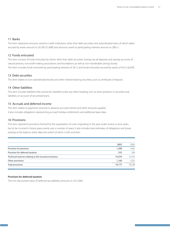#### 11 Banks

This item represents amounts owed to credit institutions, other than debt securities and subordinated loans, of which debts secured by assets amount to 20,180 (21,808) and amounts owed to participating interests amount to 288 (-).

#### 12 Funds entrusted

This item consists of funds entrusted by clients other than debt securities. Savings are all deposits and savings accounts of natural persons, non-profit-making associations and foundations, as well as non-transferable savings bonds. This item includes funds entrusted by participating interests of 28 (-) and funds entrusted secured by assets of 4,412 (6,039).

#### 13 Debt securities

This item relates to non-subordinated bonds and other interest-bearing securities, such as certificates of deposit.

#### 14 Other liabilities

This item includes liabilities that cannot be classified under any other heading, such as short positions in securities and liabilities on account of securitised loans.

#### 15 Accruals and deferred income

This item relates to payments received in advance, accrued interest and other amounts payable. It also includes obligations representing accrued holiday entitlements and additional leave days.

#### 16 Provisions

This item represents provisions formed for the equalisation of costs originating in the year under review or prior years, but to be incurred in future years, evenly over a number of years. It also includes best estimates of obligations and losses existing at the balance sheet date, the extent of which is still uncertain.

|                                                       | 2003   | 2002   |
|-------------------------------------------------------|--------|--------|
| Provision for pensions                                | 1,208  | 1,662  |
| Provision for deferred taxation                       | 255    | 206    |
| Technical reserves relating to the insurance business | 16,554 | 15,435 |
| Other provisions                                      | 1,160  | 1.035  |
| Total provisions                                      | 19,177 | 18,338 |
|                                                       |        |        |

#### **Provision for deferred taxation**

The non-discounted value of deferred tax liabilities amounts to 255 (206).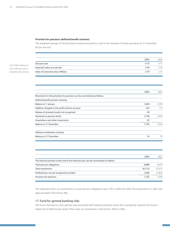#### **Provision for pensions (defined benefit schemes)**

The weighted average of the principal actuarial assumptions used in the valuation of these provisions at 31 December (% per annum):

| 2003              | 2002 |
|-------------------|------|
| 4.75              | 475  |
| 3.50              | 3.50 |
| 2.75 <sup>2</sup> | 275  |
|                   |      |

|                                                                       | 2003  | 2002  |
|-----------------------------------------------------------------------|-------|-------|
| Movements in the provision for pensions can be summarised as follows: |       |       |
| Defined benefit pension schemes                                       |       |       |
| Balance at 1 January                                                  | 1,644 | 2,394 |
| Addition charged to the profit and loss account                       | 223   | 174   |
| Release of actuarial results not recognised                           | 20    |       |
| Payments to pension funds                                             | (718) | (924) |
| Acquisitions and other movements                                      | 23    |       |
| Balance at 31 December                                                | 1,192 | 1,644 |
| Defined contribution schemes                                          |       |       |
| Balance at 31 December                                                | 16    | 18    |
|                                                                       |       |       |

|                                                                                       | 2003    | 2002    |
|---------------------------------------------------------------------------------------|---------|---------|
| The financial position at the end of the financial year can be summarised as follows: |         |         |
| Total pension obligations                                                             | 6,898   | 8,078   |
| Total investments                                                                     | (6,715) | (5,351) |
| Profits/losses not yet recognised (corridor)                                          | 1,009   | (1,083) |
| Provision for pensions                                                                | 1,192   | .644    |

The expected return on investments to cover pension obligations was 7.5% in 2003 and 2002. The actual return in 2003 was approximately 9.5% (minus 9%).

#### 17 Fund for general banking risks

The fund is formed to cover general risks associated with banking activities where this is prudently required. The fund is stated net of deferred tax assets. There were no movements in the fund in 2003 or 2002.

2) For 2003, indexing of 1% (2.75%) was used in calculating the provision.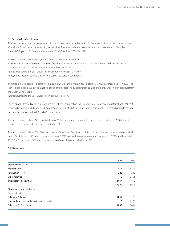#### 18 Subordinated loans

This item relates to loans, whether or not in the form of debt securities, which, in the event of liquidation, rank for payment after all the Bank's other debts existing at that time. These subordinated loans include loans taken out by Weiss, Peck & Greer LLC, Roparco NV, Effectenbank Stroeve NV, ACC Bank and FGH Bank NV.

The subordinated debt of Weiss, Peck & Greer LLC consists of two loans. The first loan amounts to USD 3.75 million, falls due in 2006 and bears interest at 7.72%. The second loan amounts to USD 8.75 million, falls due in 2008 and bears interest at 8.81%. Interest charged to the year under review amounted to USD 1.2 million. Repayment ahead of schedule is possible subject to certain conditions.

The subordinated debt of Roparco NV is a loan of 26.3 bearing interest at a variable rate, which averaged 5.5% in 2003. The loan is open-ended, subject to a notice period of five years. The subordination can be lifted only after written approval from the Dutch Central Bank.

Interest charged to the year under review amounted to 1.4.

Effectenbank Stroeve NV has a subordinated debt consisting of two loans, namely a 2.3 loan bearing interest at 6.25% that is due to be repaid in 2009 and a 2.3 loan bearing interest at 6% that is due to be repaid in 2008. Interest charged to the year under review amounted to 0.1 and 0.1 respectively.

The subordinated debt of ACC Bank is a loan of 63 bearing interest at a variable rate. The loan matures in 2008. Interest charged to the year under review amounted to 3.4.

The subordinated debt of FGH Bank NV consists of four loans. Two loans of 7.5 and 5 bear interest at a variable rate and fall due in 2011. A loan of 10 bears interest at a rate of 6.25%, with an interest increase after five years to 6.75%, and falls due in 2012. The fourth loan of 45 bears interest at a fixed rate of 6% and falls due in 2012.

#### 19 Reserves

|                                              | 2003   | 2002   |
|----------------------------------------------|--------|--------|
| Breakdown of reserves:                       |        |        |
| Member Capital                               | 3,853  | 3,851  |
| <b>Revaluation reserves</b>                  | 222    | 246    |
| Other reserves                               | 11,158 | 10,164 |
| <b>Trust Preferred Securities</b>            | 2,037  | 650    |
|                                              | 17,270 | 14,911 |
| Movements were as follows:                   |        |        |
| Member Capital                               |        |        |
| Balance at 1 January                         | 3,851  | 2,276  |
| Issue and movement relating to market making | 2      | 1,575  |
| Balance at 31 December                       | 3,853  | 3,851  |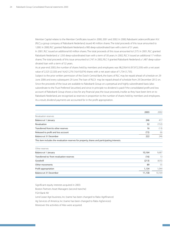Member Capital relates to the Member Certificates issued in 2000, 2001 and 2002. In 2000, Rabobank Ledencertificaten N.V. (RLC), a group company of Rabobank Nederland, issued 40 million shares. The total proceeds of this issue amounted to 1,000. In 2000, RLC granted Rabobank Nederland a 900 deep-subordinated loan with a term of 31 years.

In 2001, RLC issued an additional 60 million shares. The total proceeds of this issue amounted to1,575. In 2001, RLC granted Rabobank Nederland a 1,350 deep-subordinated loan with a term of 30 years. In 2002, RLC II issued an additional 17 million shares. The total proceeds of this issue amounted to1,747. In 2002, RLC II granted Rabobank Nederland a 1,487 deep-subordinated loan with a term of 32 years.

As at year-end 2003, the number of shares held by members and employees was 98,239,416 (97,972,359) with a net asset value of 2,525 (2,520) and 16,421,276 (16,410,074) shares with a net asset value of 1,734 (1,735).

Subject to the prior written permission of the Dutch Central Bank, the loans of RLC may be repaid ahead of schedule on 29 June 2006 and every subsequent 29 June. The loan of RLCII may be repaid ahead of schedule from 29 December 2012 on. Since the proceeds of the issue are available to Rabobank Group on a perpetual and highly subordinated basis (also subordinate to the Trust Preferred Securities) and since in principle no dividend is paid if the consolidated profit and loss account of Rabobank Group shows a loss for any financial year, the issue proceeds, insofar as they have been lent on to Rabobank Nederland, are recognised as reserves in proportion to the number of shares held by members and employees. As a result, dividend payments are accounted for in the profit appropriation.

|                                                                                               | 2003 | 2002  |
|-----------------------------------------------------------------------------------------------|------|-------|
|                                                                                               |      |       |
| Revaluation reserves                                                                          |      |       |
| Balance at 1 January                                                                          | 246  | 417   |
| Revaluation                                                                                   | 32   | (152) |
| Transferred from/to other reserves                                                            | 16   | (13)  |
| Released to profit and loss account                                                           | (72) | (6)   |
| Balance at 31 December                                                                        | 222  | 246   |
| This item includes the revaluation reserves for property, shares and participating interests. |      |       |
|                                                                                               |      |       |

| Other reserves                            |        |        |
|-------------------------------------------|--------|--------|
| Balance at 1 January                      | 10,164 | 9,687  |
| Transferred to/ from revaluation reserves | (16)   | 13     |
| Goodwill                                  | (213)  | (635)  |
| Other movements                           | 89     | 55     |
| Profit appropriation                      | 1,134  | 1.044  |
| Balance at 31 December                    | 11,158 | 10,164 |
|                                           |        |        |

Significant equity interests acquired in 2003:

Boston Partners Asset Managers (second tranche)

FGH Bank NV

Lend Lease Agri-business, Inc (name has been changed to Rabo Agrifinance)

Ag Services of America, Inc (name has been changed to Rabo AgServices)

Moreover the activities of Alex were acquired.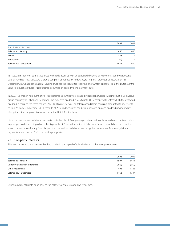|                            | 2003  | 2002 |
|----------------------------|-------|------|
| Trust Preferred Securities |       |      |
| Balance at 1 January       | 650   | 650  |
| Issued                     | 1,388 |      |
| Revaluation                | (1)   |      |
| Balance at 31 December     | 2,037 | 650  |

In 1999, 26 million non-cumulative Trust Preferred Securities with an expected dividend of 7% were issued by Rabobank Capital Funding Trust, Delaware, a group company of Rabobank Nederland, raising total proceeds of 650. As from 31 December 2004, Rabobank Capital Funding Trust has the right, after receiving prior written approval from the Dutch Central Bank, to repurchase these Trust Preferred Securities on each dividend payment date.

In 2003, 1.75 million non-cumulative Trust Preferred Securities were issued by Rabobank Capital Funding Trust II, Delaware, a group company of Rabobank Nederland. The expected dividend is 5.26% until 31 December 2013, after which the expected dividend is equal to the three-month USD LIBOR plus 1.6275%. The total proceeds from this issue amounted to USD 1,750 million. As from 31 December 2013, these Trust Preferred Securities can be repurchased on each dividend payment date after prior written approval is received from the Dutch Central Bank.

Since the proceeds of both issues are available to Rabobank Group on a perpetual and highly subordinated basis and since in principle no dividend is paid on either type of Trust Preferred Securities if Rabobank Group's consolidated profit and loss account shows a loss for any financial year, the proceeds of both issues are recognised as reserves. As a result, dividend payments are accounted for in the profit appropriation.

#### 20 Third-party interests

This item relates to the share held by third parties in the capital of subsidiaries and other group companies.

|                                  | 2003  | 2002  |
|----------------------------------|-------|-------|
| Balance at 1 January             | 4,507 | 3,654 |
| Currency translation differences | (449) | (270) |
| Other movements                  | 405   | 1,123 |
| Balance at 31 December           | 4,463 | 4,507 |
|                                  |       |       |

Other movements relate principally to the balance of shares issued and redeemed.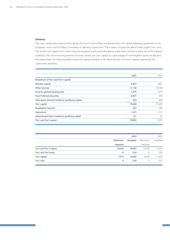#### **Solvency**

The main capital ratio requirements set by the Dutch Central Bank are derived from the capital adequacy guidelines of the European Union and the Basel Committee on Banking Supervision. These ratios compare the Bank's total capital (Tier I and Tier II) and core capital (Tier I) with total risk-weighted assets and off-balance-sheet items and the market risk of the trading portfolios. The minimum requirements for total capital and core capital as a percentage of risk-weighted assets are 8% and 4% respectively. The following table shows the capital available to the Bank and the minimum capital required by the supervisory authority.

|                                                     | 2003   | 2002   |
|-----------------------------------------------------|--------|--------|
| Breakdown of Tier I and Tier II capital:            |        |        |
| Member Capital                                      | 3,853  | 3,851  |
| Other reserves                                      | 11,158 | 10,164 |
| Fund for general banking risks                      | 1,679  | 1,679  |
| <b>Trust Preferred Securities</b>                   | 2,037  | 650    |
| Third-party interests treated as qualifying capital | 933    | 858    |
| Tier I capital                                      | 19,660 | 17,202 |
| <b>Revaluation reserves</b>                         | 222    | 246    |
| <b>Deductions</b>                                   | (141)  | (131)  |
| Subordinated loans treated as qualifying capital    | 151    | 97     |
| Tier I and Tier II capital                          | 19,892 | 17,414 |
|                                                     |        |        |

|                            |          | 2003      |                | 2002      |
|----------------------------|----------|-----------|----------------|-----------|
|                            | Minimum  | Available | Minimum        | Available |
|                            | required |           | required       |           |
| Tier I and Tier II capital | 14,626   | 19,892    | 13,268         | 17,414    |
| Tier I and Tier II ratio   | 8        | 10.9      | 8              | 10.5      |
| Tier I capital             | 7,313    | 19,660    | 6,634          | 17,202    |
| Tier I ratio               | 4        | 10.8      | $\overline{4}$ | 10.3      |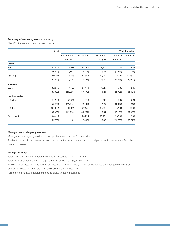#### **Summary of remaining terms to maturity**

(the 2002 figures are shown between brackets)

|                    | Total      |            |                 |               |                | Withdrawable: |
|--------------------|------------|------------|-----------------|---------------|----------------|---------------|
|                    |            | On demand/ | $\leq$ 3 months | >3 months     | $> 1$ year     | $> 5$ years   |
|                    |            | undefined  |                 | $\leq$ 1 year | $\leq$ 5 years |               |
| <b>Assets</b>      |            |            |                 |               |                |               |
| <b>Banks</b>       | 41,919     | 1,218      | 34,760          | 3,672         | 1,783          | 486           |
|                    | (47, 229)  | (1, 142)   | (38,711)        | (3,942)       | (2,856)        | (578)         |
| Lending            | 250,797    | 8,656      | 41,858          | 12,943        | 38,381         | 148,959       |
|                    | (225, 252) | (7, 420)   | (41, 541)       | (12, 945)     | (34, 355)      | (128,991)     |
| <b>Liabilities</b> |            |            |                 |               |                |               |
| <b>Banks</b>       | 82,856     | 7,128      | 67,440          | 4,957         | 1,786          | 1,545         |
|                    | (85, 886)  | (10,000)   | (67, 670)       | (5,020)       | (1,735)        | (1,461)       |
| Funds entrusted:   |            |            |                 |               |                |               |
| - Savings          | 71,559     | 67,561     | 1,418           | 501           | 1,785          | 294           |
|                    | (66, 272)  | (61, 245)  | (2,047)         | (196)         | (1,837)        | (947)         |
| - Other            | 101,012    | 46,876     | 29,661          | 14,834        | 6,903          | 2,738         |
|                    | (105, 360) | (41, 714)  | (49, 761)       | (1,764)       | (9, 158)       | (2,963)       |
| Debt securities    | 80,695     |            | 24,224          | 15,175        | 28,793         | 12,503        |
|                    | (61, 739)  | $(-)$      | (18, 438)       | (9,787)       | (24, 795)      | (8,719)       |

#### **Management and agency services**

Management and agency services to third parties relate to all the Bank's activities.

The Bank also administers assets, in its own name but for the account and risk of third parties, which are separate from the Bank's own assets.

#### **Foreign currency**

Total assets denominated in foreign currencies amount to 115,830 (113,229).

Total liabilities denominated in foreign currencies amount to 134,648 (143,135).

The balance of these amounts does not reflect the currency position, as most of the risk has been hedged by means of derivatives whose notional value is not disclosed in the balance sheet.

Part of the derivatives in foreign currencies relates to trading positions.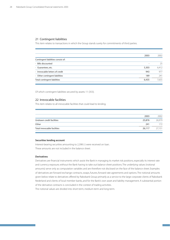#### 21 Contingent liabilities

This item relates to transactions in which the Group stands surety for commitments of third parties.

|                                    | 2003  | 2002  |
|------------------------------------|-------|-------|
| Contingent liabilities consist of: |       |       |
| - Bills discounted                 |       | 25    |
| - Guarantees, etc.                 | 5,303 | 6,412 |
| - Irrevocable letters of credit    | 943   | 977   |
| - Other contingent liabilities     | 189   | 241   |
| Total contingent liabilities       | 6,435 | 7.655 |

Of which contingent liabilities secured by assets: 11 (353).

#### 22 Irrevocable facilities

This item relates to all irrevocable facilities that could lead to lending.

|                              | 2003   | 2002   |
|------------------------------|--------|--------|
| Undrawn credit facilities    | 25,876 | 26.979 |
| Other                        | 241    | 172    |
| Total irrevocable facilities | 26,117 | 27,151 |

#### **Securities lending account**

Interest-bearing securities amounting to 2,398 (-) were received on loan. These amounts are not included in the balance sheet.

#### **Derivatives**

Derivatives are financial instruments which assist the Bank in managing its market risk positions, especially its interest rate and currency exposure, without the Bank having to take out balance sheet positions. The underlying values (notional amounts) serve only as computation variables and are therefore not disclosed on the face of the balance sheet. Examples of derivatives are forward exchange contracts, swaps, futures, forward rate agreements and options. The notional amounts given below relate to derivatives offered by Rabobank Group primarily as a service to the large corporate clients of Rabobank Nederland and clients of local member banks, and for the Bank's own asset and liability management. A substantial portion of the derivative contracts is concluded in the context of trading activities.

The notional values are divided into short-term, medium-term and long-term.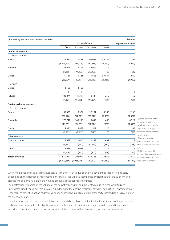| (the 2002 figures are shown between brackets) |             |                       |            |             | Positive          |
|-----------------------------------------------|-------------|-----------------------|------------|-------------|-------------------|
|                                               |             | <b>Notional Value</b> |            |             | replacement value |
|                                               | Total       | $<$ 1 year            | 1-5 years  | $> 5$ years |                   |
| Interest rate contracts                       |             |                       |            |             |                   |
| - Over the counter                            |             |                       |            |             |                   |
| Swaps                                         | 1,237,924   | 779,443               | 299,095    | 159,386     | 17,199            |
|                                               | (1,049,605) | (581,000)             | (250, 238) | (218, 367)  | (16,991)          |
| Forwards                                      | 224,695     | 177,707               | 46,979     | 9           | 70                |
|                                               | (181, 835)  | (171, 523)            | (10, 303)  | (9)         | (126)             |
| Options                                       | 79,161      | 5,721                 | 15,606     | 57,834      | 860               |
|                                               | (83, 220)   | (9, 171)              | (18, 583)  | (55, 466)   | (1,029)           |
| - Listed $3$                                  |             |                       |            |             |                   |
| Options                                       | 3,166       | 3,166                 |            |             |                   |
|                                               | $(-)$       | $(-)$                 | $(-)$      | $(-)$       | $(-)$             |
| Futures                                       | 182,274     | 141,317               | 40,747     | 210         | 50                |
|                                               | (109, 127)  | (83,028)              | (25, 971)  | (128)       | (50)              |
| Foreign exchange contracts                    |             |                       |            |             |                   |
| Over the counter                              |             |                       |            |             |                   |
| Swaps <sup>4</sup>                            | 55,020      | 13,374                | 32,261     | 9,385       | 2,136             |
|                                               | (51, 170)   | (12, 311)             | (29, 320)  | (9,539)     | (1, 582)          |
| Forwards                                      | 176,741     | 165,236               | 10,839     | 666         | 4,529             |
|                                               | (216, 755)  | (204, 851)            | (11,216)   | (688)       | (4,613)           |
| Options                                       | 4,396       | 3,869                 | 522        | 5           | 87                |
|                                               | (2,935)     | (2,763)               | (172)      | $(-)$       | (38)              |
| Other contracts <sup>5</sup>                  |             |                       |            |             |                   |
| Over the counter                              | 3,992       | 1,416                 | 2,139      | 437         | 119               |
|                                               | (3, 597)    | (692)                 | (2,693)    | (212)       | (128)             |
| Other                                         | 2,658       | 2,658                 |            |             |                   |
|                                               | (1,406)     | (577)                 | (801)      | (28)        | (4)               |
| <b>Total derivatives</b>                      | 1,970,027   | 1,293,907             | 448,188    | 227,932     | 25,050            |
|                                               | (1,699,650) | (1,065,916)           | (349, 297) | (284, 437)  | (24, 561)         |
|                                               |             |                       |            |             |                   |

on the stock exchange which are subject to daily adjustments of margin commitments, no replacement value is given. 4) Foreign exchange contracts/swaps: including cross-currency interest rate swaps. 5) Other contracts: this includes share derivatives and derivatives linked to precious metals and commodities.

3) Listed: for contracts traded

When two parties enter into a derivatives contract, this will result in due course in a payment obligation for one party, depending on the direction of movements in the market. This will be accompanied by credit risks for the Bank, which in practice will be only a fraction of the notional amounts of the derivative contracts.

For a better understanding of the volume of the derivatives activities and the related credit risks, the weighted and unweighted credit equivalents are also given in addition to the positive replacement value. The positive replacement value is the mark-to-market valuation of derivative contracts resulting in a claim on the other party that leads to a loss of profit in the event of default.

For a derivatives portfolio, the total credit risk forms a much better basis than the total notional amount of the portfolio for making a comparison with other banking activities. In the event of parties remaining in default, this credit risk is just as important as a claim, whereas the notional amount of the contract in that situation is generally of no importance. The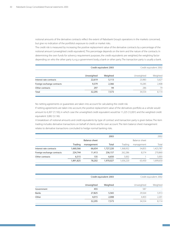notional amounts of the derivative contracts reflect the extent of Rabobank Group's operations in the markets concerned, but give no indication of the portfolio's exposure to credit or market risks.

The credit risk is measured by increasing the positive replacement value of the derivative contracts by a percentage of the notional amount (unweighted credit equivalent). This percentage depends on the term and the nature of the contracts. In determining the own funds for solvency requirement purposes, the credit equivalents are weighted, the weighting factor depending on who the other party is, e.g. a government body, a bank or other party. The transaction party is usually a bank.

|                            |            | Credit equivalent 2003 |            | Credit equivalent 2002 |
|----------------------------|------------|------------------------|------------|------------------------|
|                            | Unweighted | Weighted               | Unweighted | Weighted               |
| Interest rate contracts    | 22,619     | 5,113                  | 23,983     | 5,627                  |
| Foreign exchange contracts | 9,379      | 2,366                  | 10.285     | 2,408                  |
| Other contracts            | 297        | 94                     | 286        | 79                     |
| Total                      | 32,295     | 7,573                  | 34,554     | 8,114                  |

No netting agreements or guarantees are taken into account for calculating the credit risk.

If netting agreements are taken into account, the positive replacement value of the derivatives portfolio as a whole would amount to 6,307 (7,150), in which case the unweighted credit equivalent would be 11,225 (12,001) and the weighted credit equivalent 3,082 (3,136).

A breakdown of notional amounts and credit equivalents by type of contract and transaction party is given below. The item trading includes derivative transactions on behalf of clients and for own account. The item balance sheet management relates to derivative transactions concluded to hedge normal banking risks.

|                            |           |               | 2003      |           |               | 2002      |
|----------------------------|-----------|---------------|-----------|-----------|---------------|-----------|
|                            |           | Balance sheet |           |           | Balance sheet |           |
|                            | Trading   | management    | Total     | Trading   | management    | Total     |
| Interest rate contracts    | 1,660,566 | 66,654        | 1,727,220 | 1,368,932 | 54,855        | 1,423,787 |
| Foreign exchange contracts | 224,744   | 11,413        | 236,157   | 262,286   | 8.574         | 270,860   |
| Other contracts            | 6,515     | 135           | 6,650     | 5.002     |               | 5,003     |
|                            | 1,891,825 | 78,202        | 1,970,027 | .636,220  | 63,430        | 699,650,  |

|              |            | Credit equivalent 2003 |            | Credit equivalent 2002 |
|--------------|------------|------------------------|------------|------------------------|
|              | Unweighted | Weighted               | Unweighted | Weighted               |
| Government   | 455        | ۰                      | 587        |                        |
| <b>Banks</b> | 27,825     | 5,565                  | 29,564     | 5,913                  |
| Other        | 4,015      | 2,008                  | 4,403      | 2,201                  |
|              | 32,295     | 7,573                  | 34,554     | 8,114                  |
|              |            |                        |            |                        |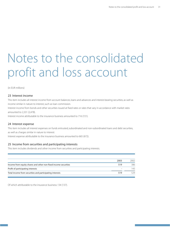# Notes to the consolidated profit and loss account

(in EUR millions)

#### 23 Interest income

This item includes all interest income from account balances, loans and advances and interest-bearing securities, as well as income similar in nature to interest, such as loan commission.

Interest income from bonds and other securities issued at fixed rates or rates that vary in accordance with market rates amounted to 2,331 (2,478).

Interest income attributable to the insurance business amounted to 716 (721).

#### 24 Interest expense

This item includes all interest expenses on funds entrusted, subordinated and non-subordinated loans and debt securities, as well as charges similar in nature to interest.

Interest expense attributable to the insurance business amounted to 665 (672).

#### 25 Income from securities and participating interests

This item includes dividends and other income from securities and participating interests.

|                                                                 | 2003 | 2002 |
|-----------------------------------------------------------------|------|------|
| Income from equity shares and other non-fixed income securities | 519  | 386  |
| Profit of participating interests                               |      | 143  |
| Total income from securities and participating interests        | 519  | 529  |
|                                                                 |      |      |

Of which attributable to the insurance business: 134 (137).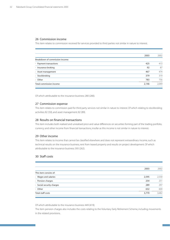#### 26 Commission income

This item relates to commission received for services provided to third parties not similar in nature to interest.

|                                 | 2003  | 2002  |
|---------------------------------|-------|-------|
| Breakdown of commission income: |       |       |
| - Payment transactions          | 425   | 413   |
| - Insurance broking             | 92    | 87    |
| - Asset management              | 467   | 474   |
| - Stockbroking                  | 379   | 319   |
| - Other                         | 783   | 756   |
| Total commission income         | 2,146 | 2.049 |

Of which attributable to the insurance business: 280 (280).

#### 27 Commission expense

This item relates to commission paid for third party services not similar in nature to interest. Of which relating to stockbroking activities: 82 (50), and asset management: 82 (89).

#### 28 Results on financial transactions

This item includes both realised and unrealised price and value differences on securities forming part of the trading portfolio, currency and other income from financial transactions, insofar as this income is not similar in nature to interest.

#### 29 Other income

This item relates to income that cannot be classified elsewhere and does not represent extraordinary income, such as technical results on the insurance business, rent from leased property and results on project development. Of which attributable to the insurance business: 393 (262).

#### 30 Staff costs

|                           | 2003  | 2002  |
|---------------------------|-------|-------|
| This item consists of:    |       |       |
| - Wages and salaries      | 2,595 | 2,530 |
| - Pension charges         | 254   | 251   |
| - Social security charges | 289   | 297   |
| - Other                   | 632   | 604   |
| Total staff costs         | 3,770 | 3,682 |
|                           |       |       |

Of which attributable to the insurance business: 449 (419).

The item pension charges also includes the costs relating to the Voluntary Early Retirement Scheme, including movements in the related provisions.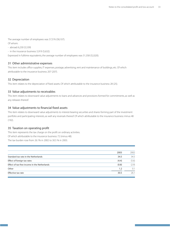The average number of employees was 57,576 (58,107).

Of whom:

- abroad: 6,230 (5,539)

- in the insurance business: 5,919 (5,632).

Expressed in fulltime equivalents, the average number of employees was 51,358 (52,020).

#### 31 Other administrative expenses

This item includes office supplies, IT expenses, postage, advertising, rent and maintenance of buildings, etc. Of which attributable to the insurance business: 207 (207).

#### 32 Depreciation

This item relates to the depreciation of fixed assets. Of which attributable to the insurance business: 28 (25).

#### 33 Value adjustments to receivables

This item relates to downward value adjustments to loans and advances and provisions formed for commitments, as well as any releases thereof.

#### 34 Value adjustments to financial fixed assets

This item relates to downward value adjustments to interest-bearing securities and shares forming part of the investment portfolio and participating interests, as well any reversals thereof. Of which attributable to the insurance business: minus 48 (192).

#### 35 Taxation on operating profit

This item represents the tax charge on the profit on ordinary activities. Of which attributable to the insurance business: 72 (minus 48). The tax burden rose from 26.1% in 2002 to 30.5 % in 2003.

|                                              | 2003  | 2002  |
|----------------------------------------------|-------|-------|
| Standard tax rate in the Netherlands         | 34.5  | 34.5  |
| Effect of foreign tax rates                  | (4.4) | (5.6) |
| Effect of tax-free income in the Netherlands | (0.8) | (2.9) |
| Other                                        | 1.2   | 0.1   |
| Effective tax rate                           | 30.5  | 26.1  |
|                                              |       |       |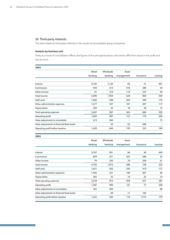### 36 Third-party interests

This item relates to third-party interests in the results of consolidated group companies.

#### **Analysis by business unit**

Partly as a result of consolidation effects, the figures of the principal business units below differ from those in the profit and loss account.

| 2003                                        |         |           |            |           |         |
|---------------------------------------------|---------|-----------|------------|-----------|---------|
|                                             | Retail  | Wholesale | Asset      |           |         |
|                                             | banking | banking   | management | Insurance | Leasing |
| Interest                                    | 4,105   | 1,120     | 83         | 51        | 491     |
| Commission                                  | 944     | 315       | 418        | 280       | 34      |
| Other income                                | 41      | 519       | 119        | 527       | 44      |
| <b>Total income</b>                         | 5,090   | 1,954     | 620        | 858       | 569     |
| Staff costs                                 | 1,666   | 598       | 264        | 449       | 176     |
| Other administrative expenses               | 1,577   | 337       | 181        | 207       | 117     |
| Depreciation                                | 204     | 32        | 18         | 28        | 12      |
| Total operating expenses                    | 3,447   | 967       | 463        | 684       | 305     |
| Operating profit                            | 1,643   | 987       | 157        | 174       | 264     |
| Value adjustments to receivables            | 213     | 284       |            |           | 75      |
| Value adjustments to financial fixed assets |         | 59        | (2)        | (48)      |         |
| Operating profit before taxation            | 1,430   | 644       | 159        | 222       | 189     |

|                                             | Retail  | Wholesale | Asset      |           |         |
|---------------------------------------------|---------|-----------|------------|-----------|---------|
|                                             | banking | banking   | management | Insurance | Leasing |
|                                             |         |           |            |           |         |
| Interest                                    | 3,767   | 901       | 84         | 49        | 449     |
| Commission                                  | 859     | 321       | 423        | 280       | 35      |
| Other income                                | 79      | 593       | 79         | 399       | 41      |
| Total income                                | 4,705   | 1,815     | 586        | 728       | 525     |
| Staff costs                                 | 1,621   | 562       | 250        | 419       | 177     |
| Other administrative expenses               | 1,492   | 321       | 190        | 207       | 96      |
| Depreciation                                | 205     | 32        | 19         | 25        | 14      |
| Total operating expenses                    | 3,318   | 915       | 459        | 651       | 287     |
| Operating profit                            | 1,387   | 900       | 127        | 77        | 238     |
| Value adjustments to receivables            | 165     | 266       |            |           | 68      |
| Value adjustments to financial fixed assets |         | 69        | 11         | 192       |         |
| Operating profit before taxation            | 1,222   | 565       | 116        | (115)     | 170     |
|                                             |         |           |            |           |         |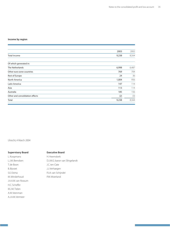#### **Income by region**

|                                 | 2003  | 2002  |
|---------------------------------|-------|-------|
| Total income                    | 9,238 | 8,564 |
| Of which generated in:          |       |       |
| The Netherlands                 | 6,998 | 6,487 |
| Other euro-zone countries       | 769   | 704   |
| Rest of Europe                  | 24    | 36    |
| North America                   | 1,004 | 956   |
| Latin America                   | 147   | 114   |
| Asia                            | 113   | 114   |
| Australia                       | 185   | 156   |
| Other and consolidation effects | (2)   | (3)   |
| Total                           | 9,238 | 8,564 |

Utrecht, 4 March 2004

#### **Supervisory Board**

L. Koopmans L.J.M. Berndsen T. de Boon B. Bijvoet S.E. Eisma M. Minderhoud J.A.A.M. van Rossum H.C. Scheffer M.J.M. Tielen A.W. Veenman A.J.A.M. Vermeer

 $\sim$ 

#### **Executive Board**

H. Heemskerk D.J.M.G. baron van Slingelandt J.C. ten Cate J.J. Verhaegen P.J.A. van Schijndel P.W. Moerland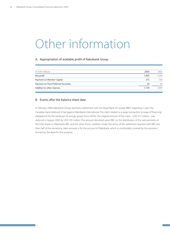# Other information

#### A. Appropriation of available profit of Rabobank Group

| (in EUR millions)                     | 2003  | 2002  |
|---------------------------------------|-------|-------|
| Net profit                            | 1,403 | 1,250 |
| Payment on Member Capital             | 215   | 160   |
| Payment on Trust Preferred Securities | 54    | 46    |
| Addition to other reserves            | 1,134 | 0.044 |

#### B. Events after the balance sheet date

In February 2004, Rabobank Group reached a settlement with the Royal Bank of Canada (RBC) regarding a claim the Canadian bank believed it had against Rabobank International. The claim related to a swap transaction (a swap of financing obligations) for the bankrupt US energy group Enron (EOG). The original amount of the claim - USD 517 million - was reduced in August 2003 by USD 195 million. This amount devolved upon RBC on the distribution of the sale proceeds of the EOG shares to Rabobank, RBC and the other Enron creditors. Under the terms of the settlement reached with RBC, less than half of the remaining claim amount is for the account of Rabobank, which is comfortably covered by the provision formed by the Bank for this purpose.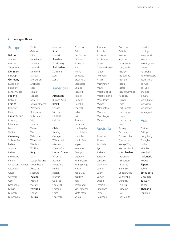#### C. Foreign offices

Ennis

Europe

Belgium Antwerp Brussels Zaventem Denmark Ballerup Germany Düsseldorf Frankfurt Langenhagen Finland Helsinki France Beauvais Paris Great Britain Coventry Edinburgh London Watford Guernsey St. Peter Port Ireland Athlone Ballina Ballinasloe Bandon Carrick-on-Shannon Luxembourg Castlebar Cavan Clonmel Cork Drogheda Dublin Dundalk Dungarvan

Galway Kilrush Letterkenny Limerick Listowel Longford Mallow Monaghan Mullingar Naas Navan Nenagh New Ross Newcastlewest Portlaoise Roscommon Skibbereen Sligo Thurles Trafee Tuam Tullamore Waterford Wexford Wicklow Italy Milan Luxembourg Austria Salzburg Poland Poznan Warsaw Portugal Lisbon Russia

Moscow Spain Madrid Sweden Sundyberg Switzerland Schlieren Zug Zürich

### Americas

**Argentina** Buenos Aires Brazil Canoas São Paulo Canada Oakville Toronto Chile Santiago Curaçao Willemstad Mexico Mexico City United States Amarillo Atlanta Bakersfield Blythe Boston Brawley Calexico Cedar Falls Chicago Chico Coachella

Dinuba El Centro Enid Fresno Gonzales Great Falls Greenbrae Grimes Hanford Hemet Holtville Honolulu Imperial Indio Julian Kearney La Quinta Los Angeles Mcook Lake Memphis Menlo Park Naples New York Orange Otterbein Palm Desert Palm Springs Preston Rapid City Reedley Roca Rosamond San Francisco Santa Maria Selma

Crookston Dallas Des Moines Spokane St. Louis Stockton Strathmore Tecate Thousand Palms Toledo Twin Falls Visalia Washington Wayne West Marshall West Memphis White Plains Wichita Wilmington Windsor Winnebago Wynne

# Australia

Adelaide Albany Armidale Ayr Brisbane Bunbury Canberra Cloncurry Cooma Dalby Darwin Dubbo Emerald Esperance Forbes Geraldton

Griffith Horsham Ingham Launceston Longreach Mackay Melbourne Merriden Moora Moree Mount Gambier Narrogin Orange Perth Port Lincoln Rockhampton Roma Shepparton Swan Hill Sydney Tamworth Toowoomba Townsville Wagga Wagga Warrnambool New Zealand Alexandra Ashburton Auckland Blenheim **Christchurch** Dannevirke Dunedin Feilding Gisborne Gore Greymouth

Goulburn

Hamilton Hastings Invercargill Masterton New Plymouth Oamaru Pukekohe Rotorua/Taupo Taumarunui Te Kuiti Te Puke Thames Timaru Waipukurau Wanganui Wellington Whangarei

# Asia

#### China

Beijing Hong Kong Shanghai India Mumbai New Delhi Indonesia Jakarta Japan Tokyo Singapore Singapore Taiwan Taipei Thailand Bangkok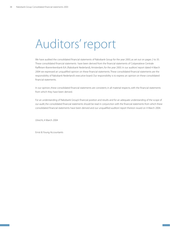# Auditors' report

We have audited the consolidated financial statements of Rabobank Group for the year 2003, as set out on pages 2 to 35. These consolidated financial statements have been derived from the financial statements of Coöperatieve Centrale Raiffeisen-Boerenleenbank B.A. (Rabobank Nederland), Amsterdam, for the year 2003. In our auditors' report dated 4 March 2004 we expressed an unqualified opinion on these financial statements. These consolidated financial statements are the responsibility of Rabobank Nederland's executive board. Our responsibility is to express an opinion on these consolidated financial statements.

In our opinion, these consolidated financial statements are consistent, in all material respects, with the financial statements from which they have been derived.

For an understanding of Rabobank Group's financial position and results and for an adequate understanding of the scope of our audit, the consolidated financial statements should be read in conjunction with the financial statements from which these consolidated financial statements have been derived and our unqualified auditors' report thereon issued on 4 March 2004.

Utrecht, 4 March 2004

Ernst & Young Accountants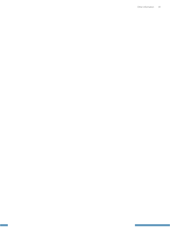$\mathbb{R}^n \times \mathbb{R}^n$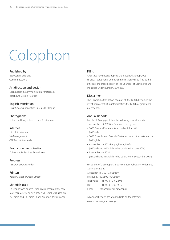# Colophon

#### Published by

Rabobank Nederland Communications

#### Art direction and design

Eden Design & Communication, Amsterdam Borghouts Design, Haarlem

English translation Ernst & Young Translation Bureau, The Hague

Photographs Hollandse Hoogte, Tjeerd Fonk, Amsterdam

#### Internet

Info.nl, Amsterdam SiteManagement C&F Report, Amsterdam

#### Production co-ordination

Kobalt Media Services, Amstelveen

Prepress NEROC'VGM, Amsterdam

Printers PlantijnCasparie Groep, Utrecht

#### Materials used

This report was printed using environmentally friendly materials. Mineral oil-free Reflecta ECO ink was used on 250 gram and 135 gram PhoeniXmotion Xantur paper.

#### Filing

After they have been adopted, the 'Rabobank Group 2003 Financial Statements and other information' will be filed at the offices of the Trade Registry of the Chamber of Commerce and Industries under number 30046259.

#### Disclaimer

This Report is a translation of a part of the Dutch Report. In the event of any conflict in interpretation, the Dutch original takes precedence.

#### Annual Reports

Rabobank Group publishes the following annual reports:

- Annual Report 2003 (in Dutch and in English)
- 2003 Financial Statements and other information (in Dutch)
- 2003 Consolidated Financial Statements and other information (in English)
- Annual Report 2003 People, Planet, Profit (in Dutch and in English, to be published in June 2004)
- Interim Report 2004 (in Dutch and in English, to be published in September 2004)

For copies of these reports please contact Rabobank Nederland, Communications. Croeselaan 18, 3521 CB Utrecht Postbus 17100, 3500 HG Utrecht Telephone +31 (0)30 - 216 22 98 Fax +31 (0)30 - 216 19 16 E-mail rabocomm@rn.rabobank.nl

All Annual Reports are also available on the Internet: www.rabobankgroep.nl/report